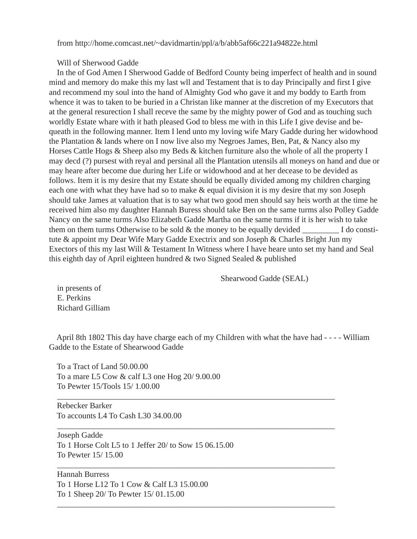from http://home.comcast.net/~davidmartin/ppl/a/b/abb5af66c221a94822e.html

Will of Sherwood Gadde

 In the of God Amen I Sherwood Gadde of Bedford County being imperfect of health and in sound mind and memory do make this my last wll and Testament that is to day Principally and first I give and recommend my soul into the hand of Almighty God who gave it and my boddy to Earth from whence it was to taken to be buried in a Christan like manner at the discretion of my Executors that at the general resurection I shall receve the same by the mighty power of God and as touching such worldly Estate whare with it hath pleased God to bless me with in this Life I give devise and bequeath in the following manner. Item I lend unto my loving wife Mary Gadde during her widowhood the Plantation & lands where on I now live also my Negroes James, Ben, Pat, & Nancy also my Horses Cattle Hogs & Sheep also my Beds & kitchen furniture also the whole of all the property I may decd (?) pursest with reyal and persinal all the Plantation utensils all moneys on hand and due or may heare after become due during her Life or widowhood and at her decease to be devided as follows. Item it is my desire that my Estate should be equally divided among my children charging each one with what they have had so to make & equal division it is my desire that my son Joseph should take James at valuation that is to say what two good men should say heis worth at the time he received him also my daughter Hannah Buress should take Ben on the same turms also Polley Gadde Nancy on the same turms Also Elizabeth Gadde Martha on the same turms if it is her wish to take them on them turms Otherwise to be sold  $\&$  the money to be equally devided I do constitute & appoint my Dear Wife Mary Gadde Exectrix and son Joseph & Charles Bright Jun my Exectors of this my last Will & Testament In Witness where I have heare unto set my hand and Seal this eighth day of April eighteen hundred & two Signed Sealed & published

Shearwood Gadde (SEAL)

 in presents of E. Perkins Richard Gilliam

 April 8th 1802 This day have charge each of my Children with what the have had - - - - William Gadde to the Estate of Shearwood Gadde

\_\_\_\_\_\_\_\_\_\_\_\_\_\_\_\_\_\_\_\_\_\_\_\_\_\_\_\_\_\_\_\_\_\_\_\_\_\_\_\_\_\_\_\_\_\_\_\_\_\_\_\_\_\_\_\_\_\_\_\_\_\_\_\_\_\_\_\_

\_\_\_\_\_\_\_\_\_\_\_\_\_\_\_\_\_\_\_\_\_\_\_\_\_\_\_\_\_\_\_\_\_\_\_\_\_\_\_\_\_\_\_\_\_\_\_\_\_\_\_\_\_\_\_\_\_\_\_\_\_\_\_\_\_\_\_\_

\_\_\_\_\_\_\_\_\_\_\_\_\_\_\_\_\_\_\_\_\_\_\_\_\_\_\_\_\_\_\_\_\_\_\_\_\_\_\_\_\_\_\_\_\_\_\_\_\_\_\_\_\_\_\_\_\_\_\_\_\_\_\_\_\_\_\_\_

\_\_\_\_\_\_\_\_\_\_\_\_\_\_\_\_\_\_\_\_\_\_\_\_\_\_\_\_\_\_\_\_\_\_\_\_\_\_\_\_\_\_\_\_\_\_\_\_\_\_\_\_\_\_\_\_\_\_\_\_\_\_\_\_\_\_\_\_

 To a Tract of Land 50.00.00 To a mare L5 Cow & calf L3 one Hog 20/ 9.00.00 To Pewter 15/Tools 15/ 1.00.00

 Rebecker Barker To accounts L4 To Cash L30 34.00.00

 Joseph Gadde To 1 Horse Colt L5 to 1 Jeffer 20/ to Sow 15 06.15.00 To Pewter 15/ 15.00

 Hannah Burress To 1 Horse L12 To 1 Cow & Calf L3 15.00.00 To 1 Sheep 20/ To Pewter 15/ 01.15.00